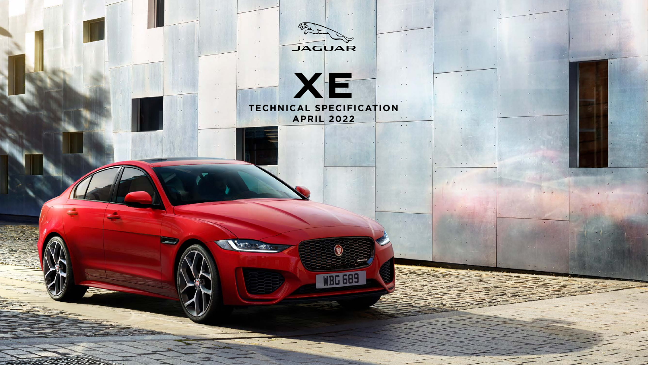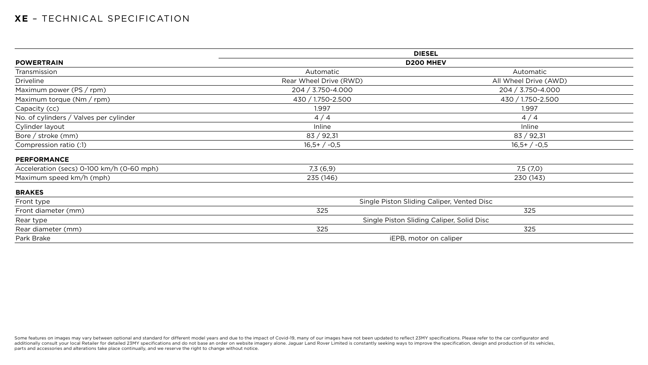# **XE** – TECHNICAL SPECIFICATION

|                                           | <b>DIESEL</b>                             |                                            |  |  |
|-------------------------------------------|-------------------------------------------|--------------------------------------------|--|--|
| <b>POWERTRAIN</b>                         | <b>D200 MHEV</b>                          |                                            |  |  |
| Transmission                              | Automatic                                 | Automatic                                  |  |  |
| <b>Driveline</b>                          | Rear Wheel Drive (RWD)                    | All Wheel Drive (AWD)                      |  |  |
| Maximum power (PS / rpm)                  | 204 / 3.750-4.000                         | 204 / 3.750-4.000                          |  |  |
| Maximum torque (Nm / rpm)                 | 430 / 1.750-2.500                         | 430 / 1.750-2.500                          |  |  |
| Capacity (cc)                             | 1.997                                     | 1.997                                      |  |  |
| No. of cylinders / Valves per cylinder    | 4/4                                       | 4/4                                        |  |  |
| Cylinder layout                           | Inline                                    | Inline                                     |  |  |
| Bore / stroke (mm)                        | 83 / 92,31                                | 83 / 92,31                                 |  |  |
| Compression ratio (:1)                    | $16,5+/-0,5$                              | $16,5+/-0,5$                               |  |  |
| <b>PERFORMANCE</b>                        |                                           |                                            |  |  |
| Acceleration (secs) 0-100 km/h (0-60 mph) | 7,3(6,9)                                  | 7,5(7,0)                                   |  |  |
| Maximum speed km/h (mph)                  | 235 (146)                                 | 230 (143)                                  |  |  |
| <b>BRAKES</b>                             |                                           |                                            |  |  |
| Front type                                |                                           | Single Piston Sliding Caliper, Vented Disc |  |  |
| Front diameter (mm)                       | 325                                       | 325                                        |  |  |
| Rear type                                 | Single Piston Sliding Caliper, Solid Disc |                                            |  |  |
| Rear diameter (mm)                        | 325                                       | 325                                        |  |  |
| Park Brake                                | iEPB, motor on caliper                    |                                            |  |  |

Some features on images may vary between optional and standard for different model years and due to the impact of Covid-19, many of our images have not been updated to reflect 23MY specifications. Please refer to the car c additionally consult your local Retailer for detailed 23MY specifications and do not base an order on website imagery alone. Jaguar Land Rover Limited is constantly seeking ways to improve the specification, design and pro parts and accessories and alterations take place continually, and we reserve the right to change without notice.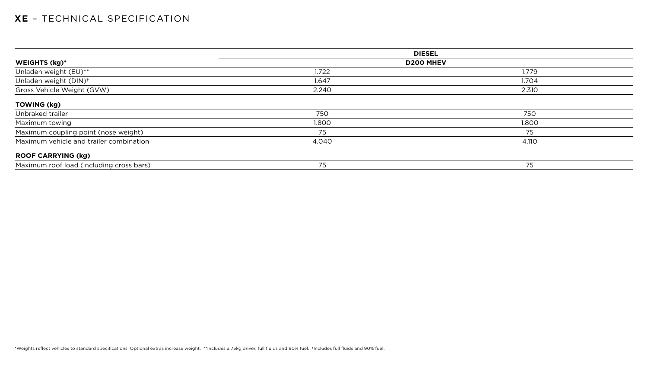|                                          |                  | <b>DIESEL</b> |  |  |
|------------------------------------------|------------------|---------------|--|--|
| <b>WEIGHTS (kg)*</b>                     | <b>D200 MHEV</b> |               |  |  |
| Unladen weight (EU)**                    | 1.722            | 1.779         |  |  |
| Unladen weight (DIN) <sup>+</sup>        | 1.647            | 1.704         |  |  |
| Gross Vehicle Weight (GVW)               | 2.240            | 2.310         |  |  |
| <b>TOWING (kg)</b>                       |                  |               |  |  |
| Unbraked trailer                         | 750              | 750           |  |  |
| Maximum towing                           | 1.800            | 1.800         |  |  |
| Maximum coupling point (nose weight)     | 75               | 75            |  |  |
| Maximum vehicle and trailer combination  | 4.040            | 4.110         |  |  |
| <b>ROOF CARRYING (kg)</b>                |                  |               |  |  |
| Maximum roof load (including cross bars) | 75               | 75            |  |  |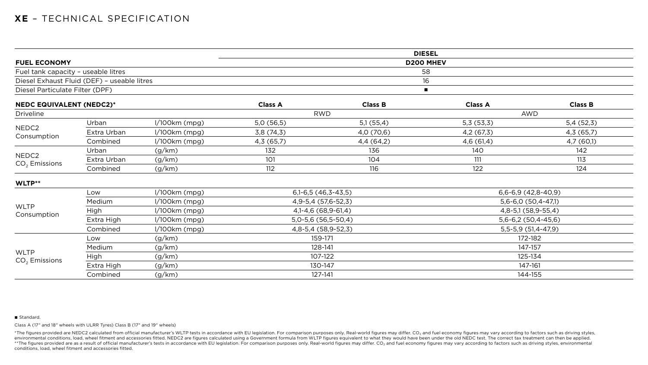|                                     |                                             |                 |                             |                     | <b>DIESEL</b>        |                      |
|-------------------------------------|---------------------------------------------|-----------------|-----------------------------|---------------------|----------------------|----------------------|
| <b>FUEL ECONOMY</b>                 |                                             |                 |                             |                     | <b>D200 MHEV</b>     |                      |
| Fuel tank capacity - useable litres |                                             |                 |                             |                     | 58                   |                      |
|                                     | Diesel Exhaust Fluid (DEF) - useable litres |                 |                             |                     | 16                   |                      |
| Diesel Particulate Filter (DPF)     |                                             |                 |                             |                     |                      |                      |
| <b>NEDC EQUIVALENT (NEDC2)*</b>     |                                             |                 | <b>Class A</b>              | <b>Class B</b>      | <b>Class A</b>       | <b>Class B</b>       |
| <b>Driveline</b>                    |                                             |                 |                             | <b>RWD</b>          |                      | <b>AWD</b>           |
|                                     | Urban                                       | $1/100km$ (mpg) | 5,0(56,5)                   | 5,1(55,4)           | 5,3(53,3)            | 5,4(52,3)            |
| NEDC2                               | Extra Urban                                 | $1/100km$ (mpg) | 3,8(74,3)                   | 4,0 (70,6)          | 4,2 (67,3)           | 4,3 (65,7)           |
| Consumption                         | Combined                                    | $1/100km$ (mpg) | 4,3(65,7)                   | 4,4(64,2)           | 4,6(61,4)            | 4,7(60,1)            |
|                                     | Urban                                       | (g/km)          | 132                         | 136                 | 140                  | 142                  |
| NEDC2                               | Extra Urban                                 | (g/km)          | 101                         | 104                 | 111                  | 113                  |
| $CO2$ Emissions                     | Combined                                    | (g/km)          | 112                         | 116                 | 122                  | 124                  |
| WLTP**                              |                                             |                 |                             |                     |                      |                      |
|                                     | Low                                         | $1/100km$ (mpg) | $6,1-6,5(46,3-43,5)$        |                     | $6,6-6,9(42,8-40,9)$ |                      |
|                                     | Medium                                      | I/100km (mpg)   |                             | 4,9-5,4 (57,6-52,3) |                      | $5,6-6,0(50,4-47,1)$ |
| <b>WLTP</b><br>Consumption          | High                                        | $1/100km$ (mpg) | 4, 1 - 4, 6 (68, 9 - 61, 4) |                     | 4,8-5,1 (58,9-55,4)  |                      |
|                                     | Extra High                                  | $1/100km$ (mpg) | $5,0-5,6(56,5-50,4)$        |                     | $5,6-6,2(50,4-45,6)$ |                      |
|                                     | Combined                                    | $1/100km$ (mpg) |                             | 4,8-5,4 (58,9-52,3) |                      | $5,5-5,9(51,4-47,9)$ |
|                                     | Low                                         | (g/km)          | 159-171                     |                     | 172-182              |                      |
|                                     | Medium                                      | (g/km)          | 128-141                     |                     | 147-157              |                      |
| <b>WLTP</b>                         | <b>High</b>                                 | (g/km)          | 107-122                     |                     | 125-134              |                      |
| $CO2$ Emissions                     | Extra High                                  | (g/km)          |                             | 130-147             |                      | 147-161              |
|                                     | Combined                                    | (g/km)          |                             | 127-141             |                      | 144-155              |

#### ■ Standard.

\*The figures provided are NEDC2 calculated from official manufacturer's WLTP tests in accordance with EU legislation. For comparison purposes only. Real-world figures may differ. CO<sub>2</sub> and fuel economy figures may vary acc environmental conditions, load, wheel fitment and accessories fitted. NEDC2 are figures calculated using a Government formula from WLTP figures equivalent to what they would have been under the old NEDC test. The correct t \*\*The figures provided are as a result of official manufacturer's tests in accordance with EU legislation. For comparison purposes only. Real-world figures may differ. CO<sub>2</sub> and fuel economy figures may vary according to f conditions, load, wheel fitment and accessories fitted.

# $6,6-6,9$  (42,8-40,9) 5,6-6,0 (50,4-47,1) 4,8-5,1 (58,9-55,4)  $5,6-6,2(50,4-45,6)$ 5,5-5,9 (51,4-47,9)

Class A (17" and 18" wheels with ULRR Tyres) Class B (17" and 19" wheels)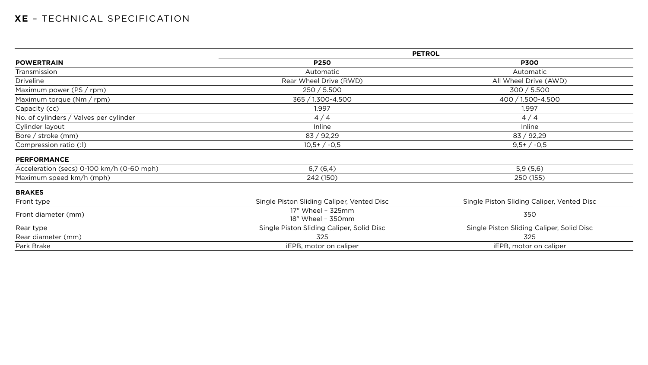|                                           | <b>PETROL</b>                              |                              |  |  |
|-------------------------------------------|--------------------------------------------|------------------------------|--|--|
| <b>POWERTRAIN</b>                         | <b>P250</b>                                | <b>P300</b>                  |  |  |
| Transmission                              | Automatic                                  | Automatic                    |  |  |
| <b>Driveline</b>                          | Rear Wheel Drive (RWD)                     | All Wheel Drive (            |  |  |
| Maximum power ( $PS / rpm$ )              | 250 / 5.500                                | 300 / 5.500                  |  |  |
| Maximum torque (Nm / rpm)                 | 365 / 1.300-4.500                          | 400 / 1.500-4.5              |  |  |
| Capacity (cc)                             | 1.997                                      | 1.997                        |  |  |
| No. of cylinders / Valves per cylinder    | 4/4                                        | 4/4                          |  |  |
| Cylinder layout                           | Inline                                     | Inline                       |  |  |
| Bore / stroke (mm)                        | 83 / 92,29                                 | 83 / 92,29                   |  |  |
| Compression ratio (:1)                    | $10,5+/-0,5$                               | $9,5+/-0,5$                  |  |  |
| <b>PERFORMANCE</b>                        |                                            |                              |  |  |
| Acceleration (secs) 0-100 km/h (0-60 mph) | 6,7(6,4)                                   | 5,9(5,6)                     |  |  |
| Maximum speed km/h (mph)                  | 242 (150)                                  | 250 (155)                    |  |  |
| <b>BRAKES</b>                             |                                            |                              |  |  |
| Front type                                | Single Piston Sliding Caliper, Vented Disc | Single Piston Sliding Calipe |  |  |
| Front diameter (mm)                       | 17" Wheel - 325mm<br>18" Wheel - 350mm     | 350                          |  |  |
| Rear type                                 | Single Piston Sliding Caliper, Solid Disc  | Single Piston Sliding Calip  |  |  |
| Rear diameter (mm)                        | 325                                        | 325                          |  |  |
| Park Brake                                | iEPB, motor on caliper                     | iEPB, motor on ca            |  |  |

| ٠<br>-<br>×<br>۰.<br>W<br>۰. |
|------------------------------|
|------------------------------|

All Wheel Drive (AWD)

400 / 1.500-4.500

Single Piston Sliding Caliper, Vented Disc

**Single Piston Sliding Caliper, Solid Disc** 

iEPB, motor on caliper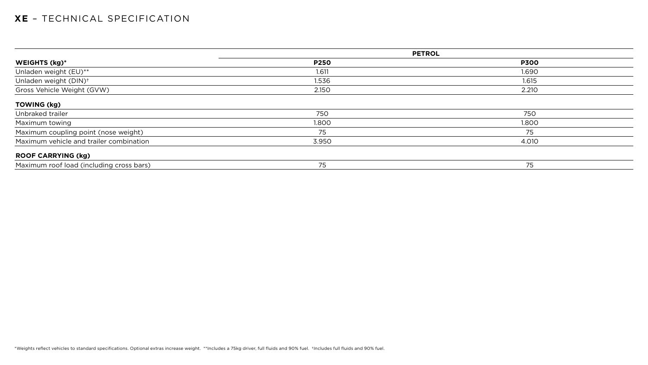|                                          |             | <b>PETROL</b> |
|------------------------------------------|-------------|---------------|
| WEIGHTS (kg)*                            | <b>P250</b> | <b>P300</b>   |
| Unladen weight (EU)**                    | 1.611       | 1.690         |
| Unladen weight (DIN) <sup>+</sup>        | 1.536       | 1.615         |
| Gross Vehicle Weight (GVW)               | 2.150       | 2.210         |
| <b>TOWING (kg)</b>                       |             |               |
| Unbraked trailer                         | 750         | 750           |
| Maximum towing                           | 1.800       | 1.800         |
| Maximum coupling point (nose weight)     | 75          | 75            |
| Maximum vehicle and trailer combination  | 3.950       | 4.010         |
| <b>ROOF CARRYING (kg)</b>                |             |               |
| Maximum roof load (including cross bars) | 75          | 75            |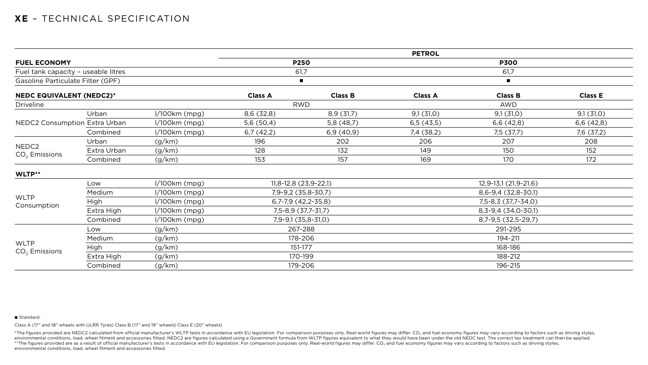|                                      |             |                 | <b>PETROL</b>           |                |                         |                |                |  |
|--------------------------------------|-------------|-----------------|-------------------------|----------------|-------------------------|----------------|----------------|--|
| <b>FUEL ECONOMY</b>                  |             |                 | <b>P250</b>             |                | <b>P300</b>             |                |                |  |
| Fuel tank capacity - useable litres  |             |                 | 61,7                    |                | 61,7                    |                |                |  |
| Gasoline Particulate Filter (GPF)    |             |                 |                         | $\blacksquare$ |                         | $\blacksquare$ |                |  |
| <b>NEDC EQUIVALENT (NEDC2)*</b>      |             |                 | <b>Class A</b>          | <b>Class B</b> | <b>Class A</b>          | <b>Class B</b> | <b>Class E</b> |  |
| <b>Driveline</b>                     |             |                 |                         | <b>RWD</b>     |                         | <b>AWD</b>     |                |  |
|                                      | Urban       | $1/100km$ (mpg) | 8,6(32,8)               | 8,9(31,7)      | 9,1(31,0)               | 9,1(31,0)      | 9,1(31,0)      |  |
| NEDC2 Consumption Extra Urban        |             | $1/100km$ (mpg) | 5,6(50,4)               | 5,8(48,7)      | 6,5(43,5)               | 6,6(42,8)      | 6,6(42,8)      |  |
|                                      | Combined    | $1/100km$ (mpg) | 6,7(42,2)               | 6,9(40,9)      | 7,4 (38,2)              | 7,5 (37,7)     | 7,6 (37,2)     |  |
|                                      | Urban       | (g/km)          | 196                     | 202            | 206                     | 207            | 208            |  |
| NEDC <sub>2</sub><br>$CO2$ Emissions | Extra Urban | (g/km)          | 128                     | 132            | 149                     | 150            | 152            |  |
|                                      | Combined    | (g/km)          | 153                     | 157            | 169                     | 170            | 172            |  |
| WLTP**                               |             |                 |                         |                |                         |                |                |  |
|                                      | Low         | $1/100km$ (mpg) | $11,8-12,8$ (23,9-22,1) |                | $12,9-13,1(21,9-21,6)$  |                |                |  |
|                                      | Medium      | $1/100km$ (mpg) | 7,9-9,2 (35,8-30,7)     |                | 8,6-9,4 (32,8-30,1)     |                |                |  |
| <b>WLTP</b>                          | High        | $1/100km$ (mpg) | $6,7-7,9$ $(42,2-35,8)$ |                | 7,5-8,3 (37,7-34,0)     |                |                |  |
| Consumption                          | Extra High  | $1/100km$ (mpg) | 7,5-8,9 (37,7-31,7)     |                | 8, 3-9, 4 (34, 0-30, 1) |                |                |  |
|                                      | Combined    | $1/100km$ (mpg) | $7,9-9,1$ (35,8-31,0)   |                | 8,7-9,5 (32,5-29,7)     |                |                |  |
|                                      | Low         | (g/km)          | 267-288                 |                | 291-295                 |                |                |  |
|                                      | Medium      | (g/km)          | 178-206                 |                | 194-211                 |                |                |  |
| <b>WLTP</b>                          | High        | (g/km)          | 151-177                 |                | 168-186                 |                |                |  |
| $CO2$ Emissions                      | Extra High  | (g/km)          |                         | 170-199        |                         | 188-212        |                |  |
|                                      | Combined    | (g/km)          | 179-206                 |                | 196-215                 |                |                |  |

#### ■ Standard.

\*The figures provided are NEDC2 calculated from official manufacturer's WLTP tests in accordance with EU legislation. For comparison purposes only. Real-world figures may differ. CO<sub>2</sub> and fuel economy figures may vary acc environmental conditions, load, wheel fitment and accessories fitted. NEDC2 are figures calculated using a Government formula from WLTP figures equivalent to what they would have been under the old NEDC test. The correct t \*\* The figures provided are as a result of official manufacturer's tests in accordance with EU legislation. For comparison purposes only. Real-world figures may differ. CO<sub>2</sub> and fuel economy figures may vary according to environmental conditions, load, wheel fitment and accessories fitted.

Class A (17" and 18" wheels with ULRR Tyres) Class B (17" and 19" wheels) Class E (20" wheels)